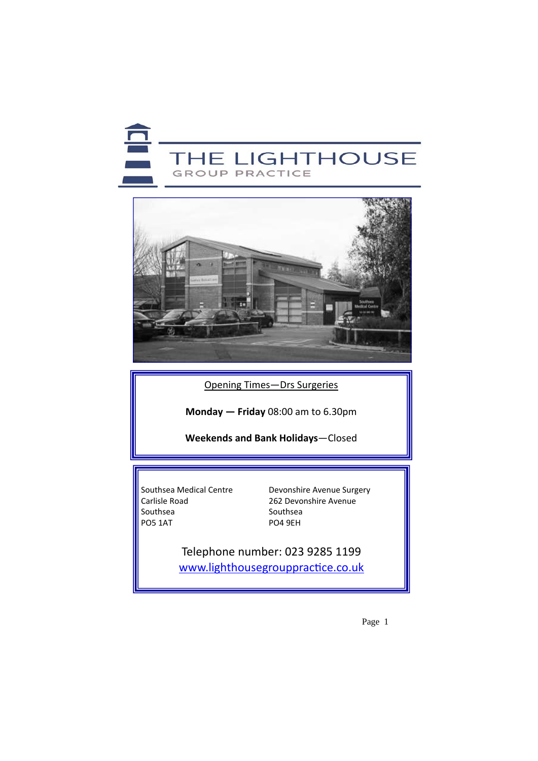



Opening Times—Drs Surgeries

**Monday — Friday** 08:00 am to 6.30pm

**Weekends and Bank Holidays**—Closed

Southsea Southsea PO5 1AT

Southsea Medical Centre **Devonshire Avenue Surgery**<br>Carlisle Road **262** Devonshire Avenue 262 Devonshire Avenue

> Telephone number: 023 9285 1199 www.lighthousegrouppractice.co.uk

> > Page 1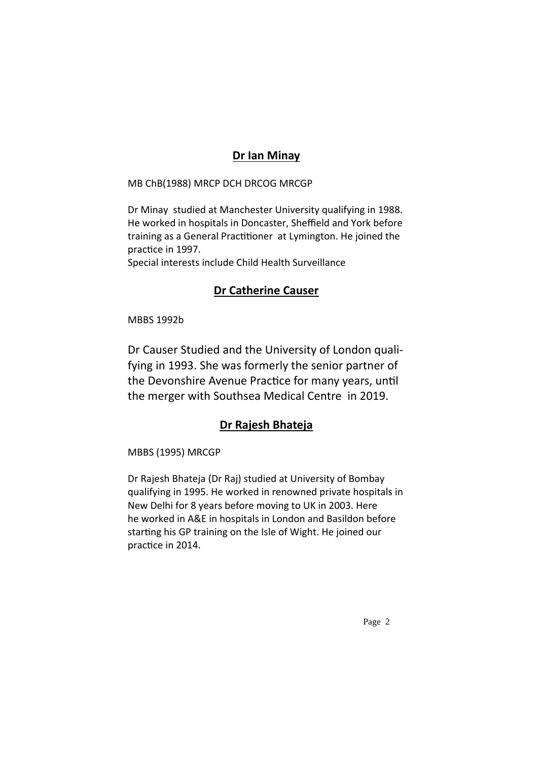### **Dr Ian Minay**

MB ChB(1988) MRCP DCH DRCOG MRCGP

Dr Minay studied at Manchester University qualifying in 1988. He worked in hospitals in Doncaster, Sheffield and York before training as a General Practitioner at Lymington. He joined the practice in 1997.

Special interests include Child Health Surveillance

### **Dr Catherine Causer**

MBBS 1992b

Dr Causer Studied and the University of London quali‐ fying in 1993. She was formerly the senior partner of the Devonshire Avenue Practice for many years, until the merger with Southsea Medical Centre in 2019.

### **Dr Rajesh Bhateja**

MBBS (1995) MRCGP

Dr Rajesh Bhateja (Dr Raj) studied at University of Bombay qualifying in 1995. He worked in renowned private hospitals in New Delhi for 8 years before moving to UK in 2003. Here he worked in A&E in hospitals in London and Basildon before starting his GP training on the Isle of Wight. He joined our practice in 2014.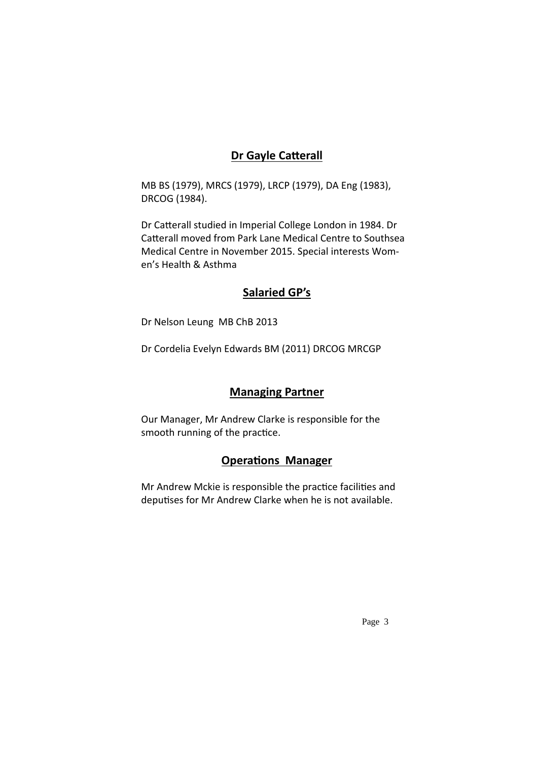### **Dr Gayle CaƩerall**

MB BS (1979), MRCS (1979), LRCP (1979), DA Eng (1983), DRCOG (1984).

Dr Catterall studied in Imperial College London in 1984. Dr Catterall moved from Park Lane Medical Centre to Southsea Medical Centre in November 2015. Special interests Wom‐ en's Health & Asthma

### **Salaried GP's**

Dr Nelson Leung MB ChB 2013

Dr Cordelia Evelyn Edwards BM (2011) DRCOG MRCGP

### **Managing Partner**

Our Manager, Mr Andrew Clarke is responsible for the smooth running of the practice.

### **OperaƟons Manager**

Mr Andrew Mckie is responsible the practice facilities and deputises for Mr Andrew Clarke when he is not available.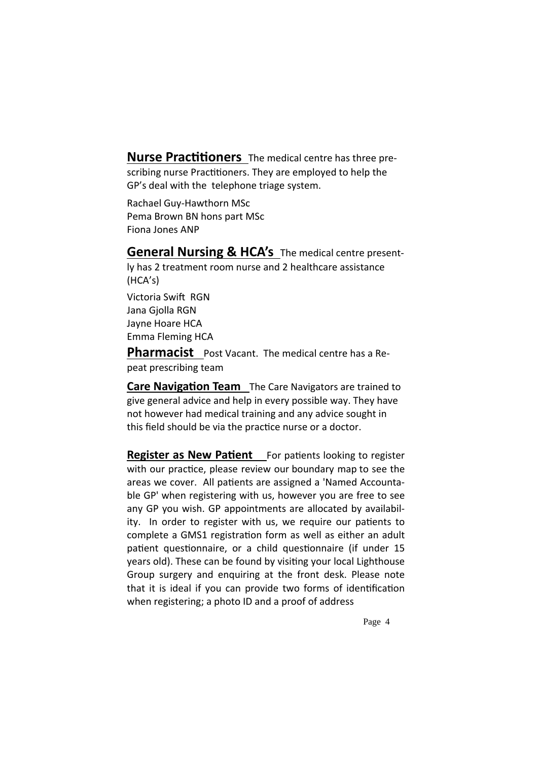**Nurse Practitioners** The medical centre has three prescribing nurse Practitioners. They are employed to help the GP's deal with the telephone triage system.

Rachael Guy‐Hawthorn MSc Pema Brown BN hons part MSc Fiona Jones ANP

**General Nursing & HCA's** The medical centre present‐

ly has 2 treatment room nurse and 2 healthcare assistance (HCA's) Victoria Swift RGN Jana Gjolla RGN Jayne Hoare HCA Emma Fleming HCA

**Pharmacist** Post Vacant. The medical centre has a Repeat prescribing team

**Care Navigation Team** The Care Navigators are trained to give general advice and help in every possible way. They have not however had medical training and any advice sought in this field should be via the practice nurse or a doctor.

**Register as New Patient** For patients looking to register with our practice, please review our boundary map to see the areas we cover. All patients are assigned a 'Named Accountable GP' when registering with us, however you are free to see any GP you wish. GP appointments are allocated by availabil‐ ity. In order to register with us, we require our patients to complete a GMS1 registration form as well as either an adult patient questionnaire, or a child questionnaire (if under 15 years old). These can be found by visiting your local Lighthouse Group surgery and enquiring at the front desk. Please note that it is ideal if you can provide two forms of identification when registering; a photo ID and a proof of address

Page 4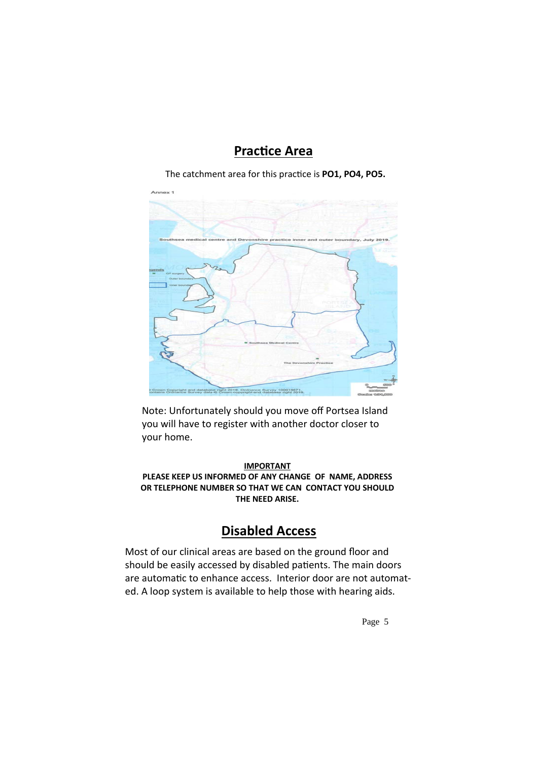## **PracƟce Area**

The catchment area for this pracƟce is **PO1, PO4, PO5.**



Note: Unfortunately should you move off Portsea Island you will have to register with another doctor closer to your home.

#### **IMPORTANT PLEASE KEEP US INFORMED OF ANY CHANGE OF NAME, ADDRESS OR TELEPHONE NUMBER SO THAT WE CAN CONTACT YOU SHOULD THE NEED ARISE.**

## **Disabled Access**

Most of our clinical areas are based on the ground floor and should be easily accessed by disabled patients. The main doors are automatic to enhance access. Interior door are not automated. A loop system is available to help those with hearing aids.

Page 5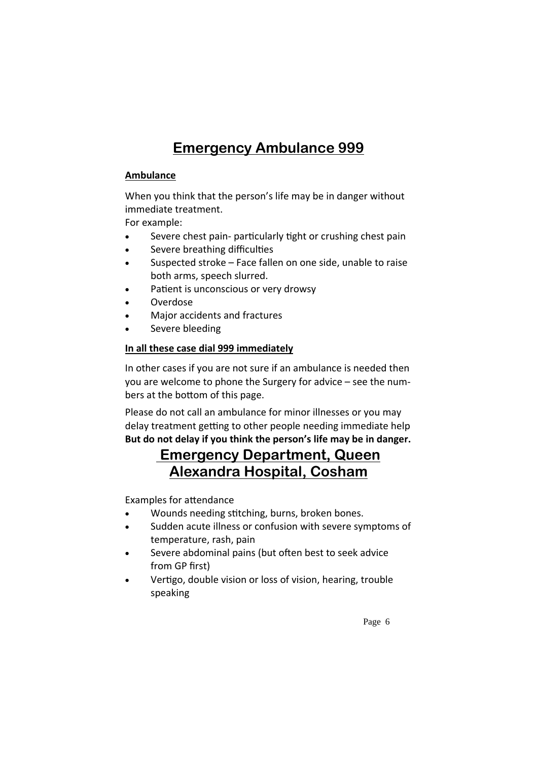# **Emergency Ambulance 999**

#### **Ambulance**

When you think that the person's life may be in danger without immediate treatment.

For example:

- Severe chest pain- particularly tight or crushing chest pain
- Severe breathing difficulties
- Suspected stroke Face fallen on one side, unable to raise both arms, speech slurred.
- Patient is unconscious or very drowsy
- Overdose
- Major accidents and fractures
- Severe bleeding

#### **In all these case dial 999 immediately**

In other cases if you are not sure if an ambulance is needed then you are welcome to phone the Surgery for advice – see the num‐ bers at the bottom of this page.

Please do not call an ambulance for minor illnesses or you may delay treatment getting to other people needing immediate help **But do not delay if you think the person's life may be in danger.**

## **Emergency Department, Queen Alexandra Hospital, Cosham**

Examples for attendance

- Wounds needing stitching, burns, broken bones.
- Sudden acute illness or confusion with severe symptoms of temperature, rash, pain
- Severe abdominal pains (but often best to seek advice from GP first)
- Vertigo, double vision or loss of vision, hearing, trouble speaking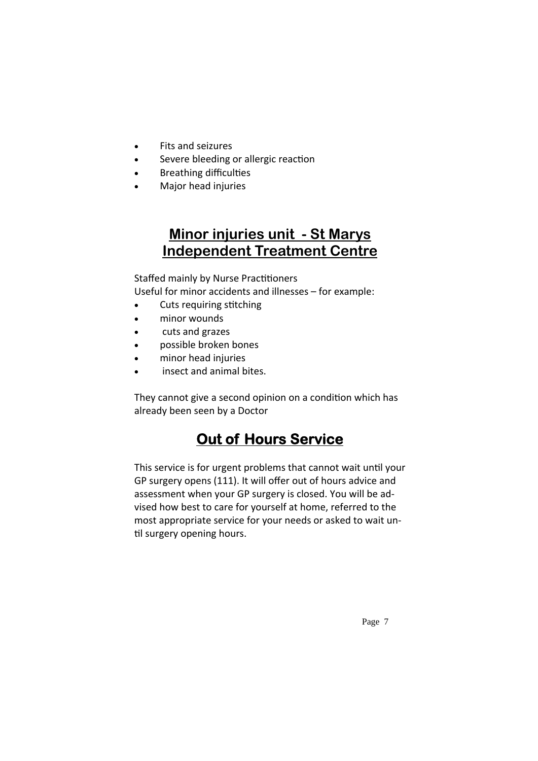- Fits and seizures
- Severe bleeding or allergic reaction
- Breathing difficulties
- Major head injuries

## **Minor injuries unit - St Marys Independent Treatment Centre**

Staffed mainly by Nurse Practitioners

Useful for minor accidents and illnesses – for example:

- Cuts requiring stitching
- minor wounds
- cuts and grazes
- possible broken bones
- minor head injuries
- insect and animal bites.

They cannot give a second opinion on a condition which has already been seen by a Doctor

# **Out of Hours Service**

This service is for urgent problems that cannot wait until your GP surgery opens (111). It will offer out of hours advice and assessment when your GP surgery is closed. You will be ad‐ vised how best to care for yourself at home, referred to the most appropriate service for your needs or asked to wait un‐ til surgery opening hours.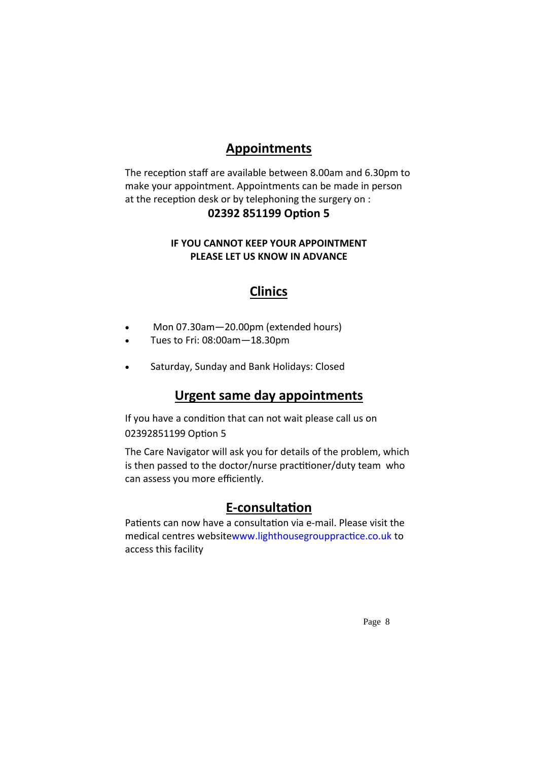## **Appointments**

The reception staff are available between 8.00am and 6.30pm to make your appointment. Appointments can be made in person at the reception desk or by telephoning the surgery on :

#### **02392 851199 OpƟon 5**

#### **IF YOU CANNOT KEEP YOUR APPOINTMENT PLEASE LET US KNOW IN ADVANCE**

### **Clinics**

- Mon 07.30am—20.00pm (extended hours)
- Tues to Fri: 08:00am—18.30pm
- Saturday, Sunday and Bank Holidays: Closed

### **Urgent same day appointments**

If you have a condition that can not wait please call us on 02392851199 Option 5

The Care Navigator will ask you for details of the problem, which is then passed to the doctor/nurse practitioner/duty team who can assess you more efficiently.

### **E‐consultaƟon**

Patients can now have a consultation via e-mail. Please visit the medical centres websitewww.lighthousegrouppractice.co.uk to access this facility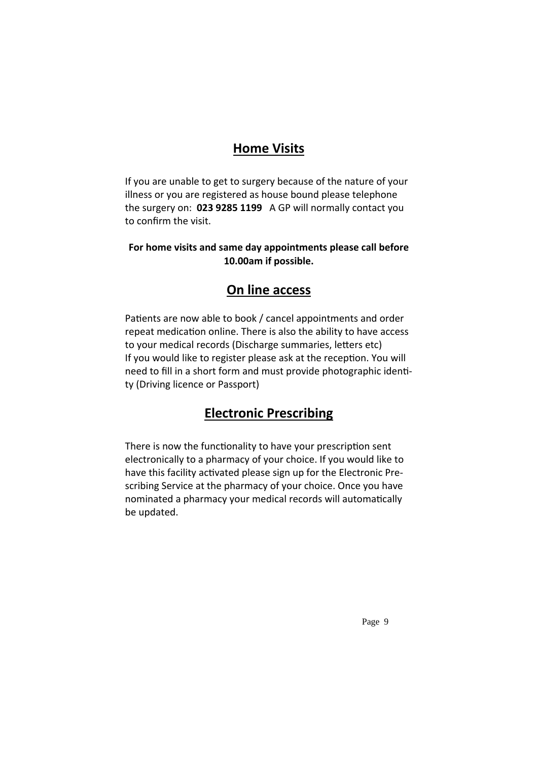### **Home Visits**

If you are unable to get to surgery because of the nature of your illness or you are registered as house bound please telephone the surgery on: **023 9285 1199** A GP will normally contact you to confirm the visit.

#### **For home visits and same day appointments please call before 10.00am if possible.**

## **On line access**

Patients are now able to book / cancel appointments and order repeat medication online. There is also the ability to have access to your medical records (Discharge summaries, letters etc) If you would like to register please ask at the reception. You will need to fill in a short form and must provide photographic identity (Driving licence or Passport)

## **Electronic Prescribing**

There is now the functionality to have your prescription sent electronically to a pharmacy of your choice. If you would like to have this facility activated please sign up for the Electronic Prescribing Service at the pharmacy of your choice. Once you have nominated a pharmacy your medical records will automatically be updated.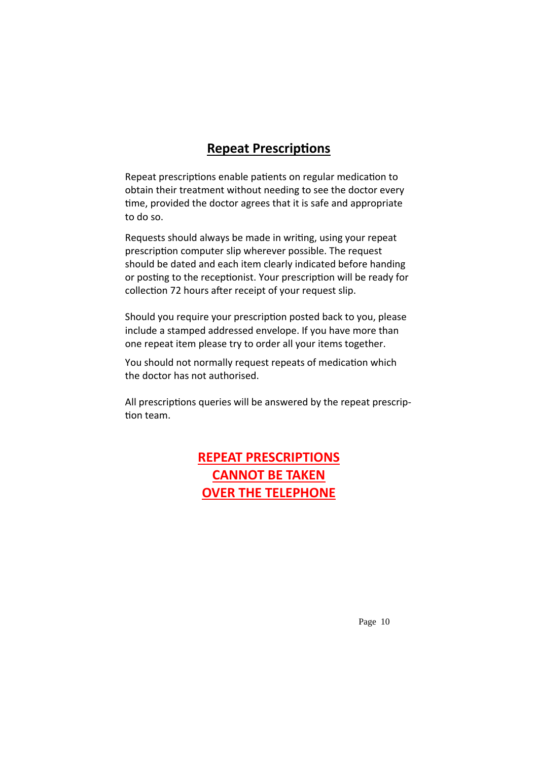### **Repeat PrescripƟons**

Repeat prescriptions enable patients on regular medication to obtain their treatment without needing to see the doctor every time, provided the doctor agrees that it is safe and appropriate to do so.

Requests should always be made in writing, using your repeat prescription computer slip wherever possible. The request should be dated and each item clearly indicated before handing or posting to the receptionist. Your prescription will be ready for collection 72 hours after receipt of your request slip.

Should you require your prescription posted back to you, please include a stamped addressed envelope. If you have more than one repeat item please try to order all your items together.

You should not normally request repeats of medication which the doctor has not authorised.

All prescriptions queries will be answered by the repeat prescription team.

## **REPEAT PRESCRIPTIONS CANNOT BE TAKEN OVER THE TELEPHONE**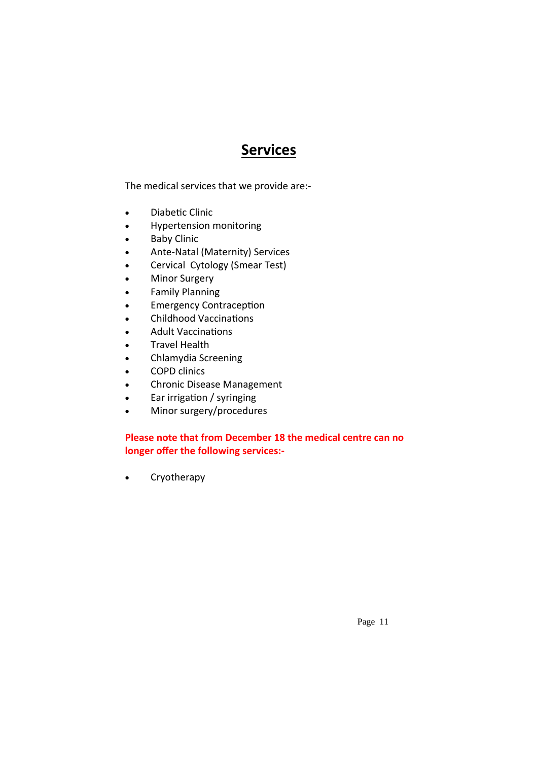## **Services**

The medical services that we provide are:‐

- Diabetic Clinic
- Hypertension monitoring
- Baby Clinic
- Ante-Natal (Maternity) Services
- Cervical Cytology (Smear Test)
- Minor Surgery
- Family Planning
- Emergency Contraception
- Childhood Vaccinations
- Adult Vaccinations
- Travel Health
- Chlamydia Screening
- COPD clinics
- Chronic Disease Management
- Ear irrigation / syringing
- Minor surgery/procedures

#### **Please note that from December 18 the medical centre can no longer offer the following services:‐**

• Cryotherapy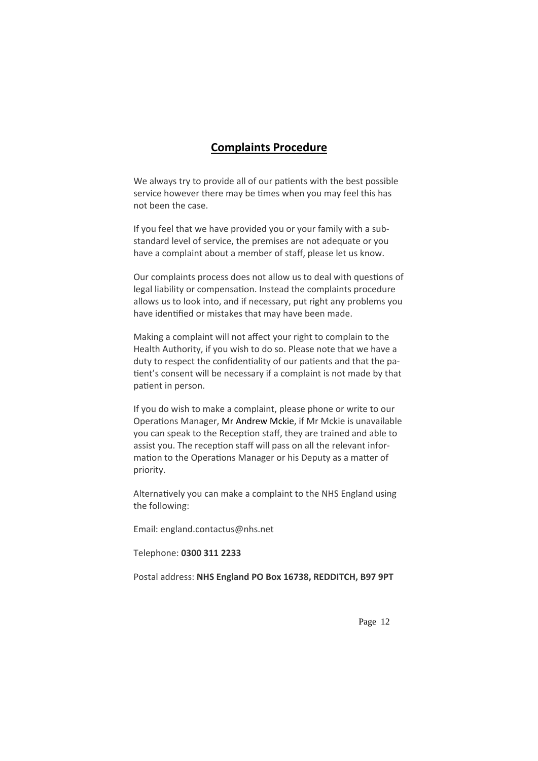#### **Complaints Procedure**

We always try to provide all of our patients with the best possible service however there may be times when you may feel this has not been the case.

If you feel that we have provided you or your family with a sub‐ standard level of service, the premises are not adequate or you have a complaint about a member of staff, please let us know.

Our complaints process does not allow us to deal with questions of legal liability or compensation. Instead the complaints procedure allows us to look into, and if necessary, put right any problems you have identified or mistakes that may have been made.

Making a complaint will not affect your right to complain to the Health Authority, if you wish to do so. Please note that we have a duty to respect the confidentiality of our patients and that the patient's consent will be necessary if a complaint is not made by that patient in person.

If you do wish to make a complaint, please phone or write to our Operations Manager, Mr Andrew Mckie, if Mr Mckie is unavailable you can speak to the Reception staff, they are trained and able to assist you. The reception staff will pass on all the relevant information to the Operations Manager or his Deputy as a matter of priority.

Alternatively you can make a complaint to the NHS England using the following:

Email: england.contactus@nhs.net

Telephone: **0300 311 2233**

Postal address: **NHS England PO Box 16738, REDDITCH, B97 9PT**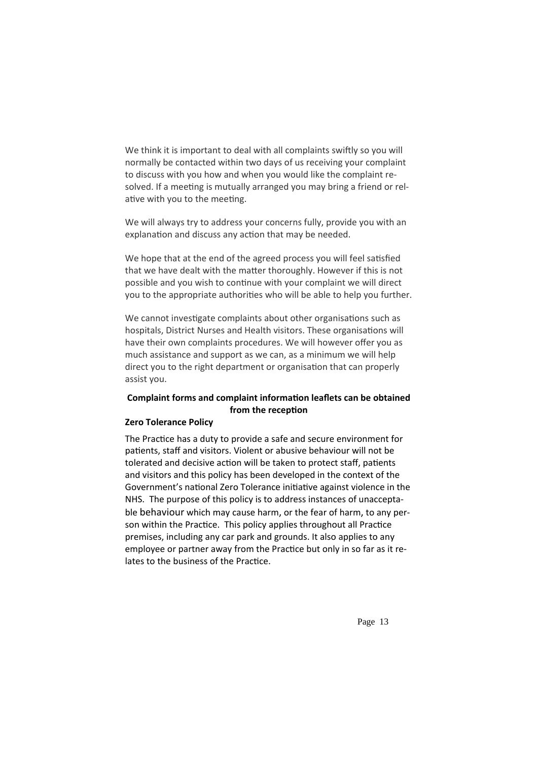We think it is important to deal with all complaints swiftly so you will normally be contacted within two days of us receiving your complaint to discuss with you how and when you would like the complaint re‐ solved. If a meeting is mutually arranged you may bring a friend or relative with you to the meeting.

We will always try to address your concerns fully, provide you with an explanation and discuss any action that may be needed.

We hope that at the end of the agreed process you will feel satisfied that we have dealt with the matter thoroughly. However if this is not possible and you wish to continue with your complaint we will direct you to the appropriate authorities who will be able to help you further.

We cannot investigate complaints about other organisations such as hospitals, District Nurses and Health visitors. These organisations will have their own complaints procedures. We will however offer you as much assistance and support as we can, as a minimum we will help direct you to the right department or organisation that can properly assist you.

#### **Complaint forms and complaint informaƟon leaflets can be obtained from** the reception

#### **Zero Tolerance Policy**

The Practice has a duty to provide a safe and secure environment for patients, staff and visitors. Violent or abusive behaviour will not be tolerated and decisive action will be taken to protect staff, patients and visitors and this policy has been developed in the context of the Government's national Zero Tolerance initiative against violence in the NHS. The purpose of this policy is to address instances of unaccepta‐ ble behaviour which may cause harm, or the fear of harm, to any per‐ son within the Practice. This policy applies throughout all Practice premises, including any car park and grounds. It also applies to any employee or partner away from the Practice but only in so far as it relates to the business of the Practice.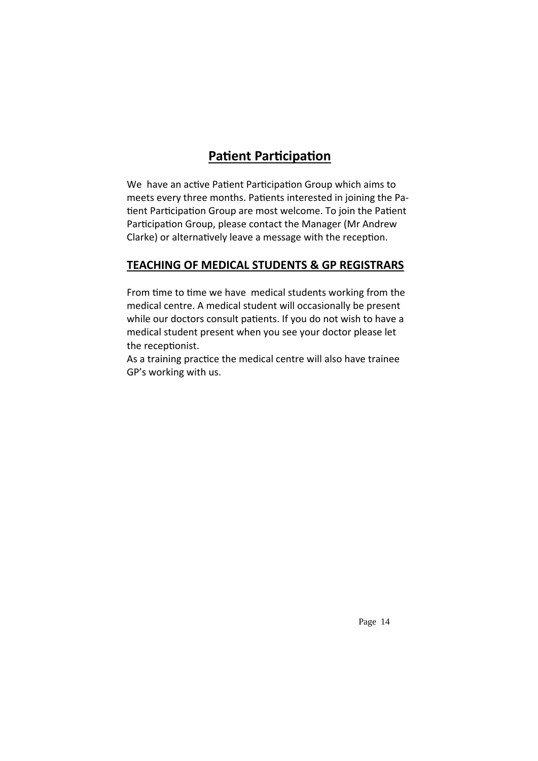## **Patient Participation**

We have an active Patient Participation Group which aims to meets every three months. Patients interested in joining the Patient Participation Group are most welcome. To join the Patient Participation Group, please contact the Manager (Mr Andrew Clarke) or alternatively leave a message with the reception.

### **TEACHING OF MEDICAL STUDENTS & GP REGISTRARS**

From time to time we have medical students working from the medical centre. A medical student will occasionally be present while our doctors consult patients. If you do not wish to have a medical student present when you see your doctor please let the receptionist.

As a training practice the medical centre will also have trainee GP's working with us.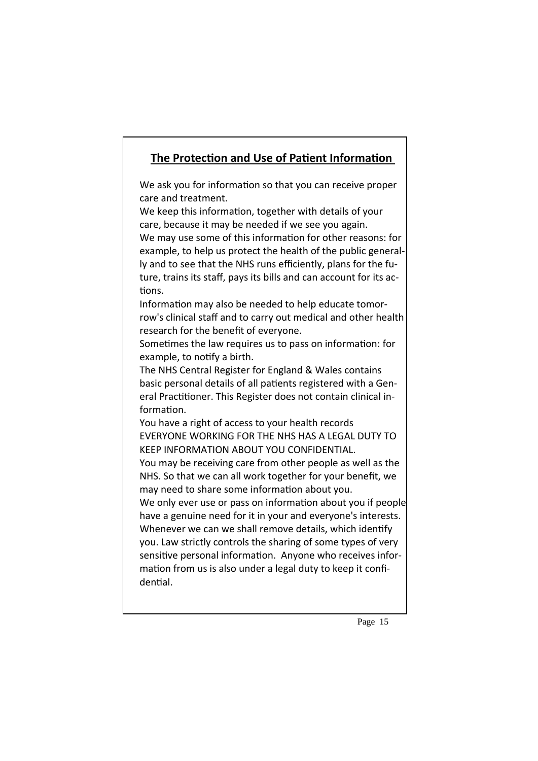### **The ProtecƟon and Use of PaƟent InformaƟon**

We ask you for information so that you can receive proper care and treatment.

We keep this information, together with details of your care, because it may be needed if we see you again. We may use some of this information for other reasons: for example, to help us protect the health of the public general‐ ly and to see that the NHS runs efficiently, plans for the fu‐ ture, trains its staff, pays its bills and can account for its ac‐ tions.

Information may also be needed to help educate tomorrow's clinical staff and to carry out medical and other health research for the benefit of everyone.

Sometimes the law requires us to pass on information: for example, to notify a birth.

The NHS Central Register for England & Wales contains basic personal details of all patients registered with a General Practitioner. This Register does not contain clinical information.

You have a right of access to your health records EVERYONE WORKING FOR THE NHS HAS A LEGAL DUTY TO KEEP INFORMATION ABOUT YOU CONFIDENTIAL.

You may be receiving care from other people as well as the NHS. So that we can all work together for your benefit, we may need to share some information about you.

We only ever use or pass on information about you if people have a genuine need for it in your and everyone's interests. Whenever we can we shall remove details, which identify you. Law strictly controls the sharing of some types of very sensitive personal information. Anyone who receives information from us is also under a legal duty to keep it confidential.